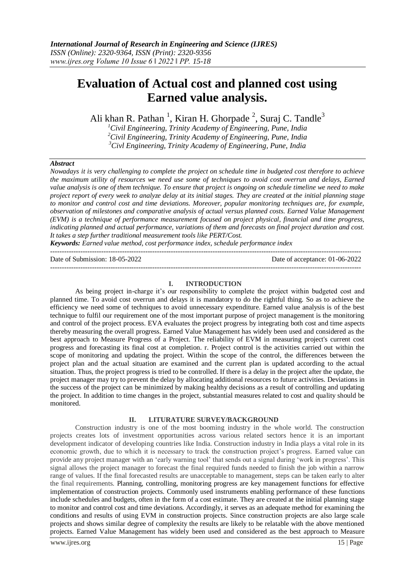# **Evaluation of Actual cost and planned cost using Earned value analysis.**

Ali khan R. Pathan<sup>1</sup>, Kiran H. Ghorpade<sup>2</sup>, Suraj C. Tandle<sup>3</sup>

*<sup>1</sup>Civil Engineering, Trinity Academy of Engineering, Pune, India <sup>2</sup>Civil Engineering, Trinity Academy of Engineering, Pune, India <sup>3</sup>Civl Engineering, Trinity Academy of Engineering, Pune, India*

# *Abstract*

*Nowadays it is very challenging to complete the project on schedule time in budgeted cost therefore to achieve the maximum utility of resources we need use some of techniques to avoid cost overrun and delays, Earned value analysis is one of them technique. To ensure that project is ongoing on schedule timeline we need to make project report of every week to analyze delay at its initial stages. They are created at the initial planning stage to monitor and control cost and time deviations. Moreover, popular monitoring techniques are, for example, observation of milestones and comparative analysis of actual versus planned costs. Earned Value Management (EVM) is a technique of performance measurement focused on project physical, financial and time progress, indicating planned and actual performance, variations of them and forecasts on final project duration and cost. It takes a step further traditional measurement tools like PERT/Cost.*

*Keywords: Earned value method, cost performance index, schedule performance index*

| Date of Submission: 18-05-2022 |
|--------------------------------|
|--------------------------------|

Date of acceptance:  $01-06-2022$ 

## **I. INTRODUCTION**

--------------------------------------------------------------------------------------------------------------------------------------

As being project in-charge it's our responsibility to complete the project within budgeted cost and planned time. To avoid cost overrun and delays it is mandatory to do the rightful thing. So as to achieve the efficiency we need some of techniques to avoid unnecessary expenditure. Earned value analysis is of the best technique to fulfil our requirement one of the most important purpose of project management is the monitoring and control of the project process. EVA evaluates the project progress by integrating both cost and time aspects thereby measuring the overall progress. Earned Value Management has widely been used and considered as the best approach to Measure Progress of a Project. The reliability of EVM in measuring project's current cost progress and forecasting its final cost at completion. r. Project control is the activities carried out within the scope of monitoring and updating the project. Within the scope of the control, the differences between the project plan and the actual situation are examined and the current plan is updated according to the actual situation. Thus, the project progress is tried to be controlled. If there is a delay in the project after the update, the project manager may try to prevent the delay by allocating additional resources to future activities. Deviations in the success of the project can be minimized by making healthy decisions as a result of controlling and updating the project. In addition to time changes in the project, substantial measures related to cost and quality should be monitored.

# **II. LITURATURE SURVEY/BACKGROUND**

Construction industry is one of the most booming industry in the whole world. The construction projects creates lots of investment opportunities across various related sectors hence it is an important development indicator of developing countries like India. Construction industry in India plays a vital role in its economic growth, due to which it is necessary to track the construction project's progress. Earned value can provide any project manager with an 'early warning tool' that sends out a signal during 'work in progress'. This signal allows the project manager to forecast the final required funds needed to finish the job within a narrow range of values. If the final forecasted results are unacceptable to management, steps can be taken early to alter the final requirements. Planning, controlling, monitoring progress are key management functions for effective implementation of construction projects. Commonly used instruments enabling performance of these functions include schedules and budgets, often in the form of a cost estimate. They are created at the initial planning stage to monitor and control cost and time deviations. Accordingly, it serves as an adequate method for examining the conditions and results of using EVM in construction projects. Since construction projects are also large scale projects and shows similar degree of complexity the results are likely to be relatable with the above mentioned projects. Earned Value Management has widely been used and considered as the best approach to Measure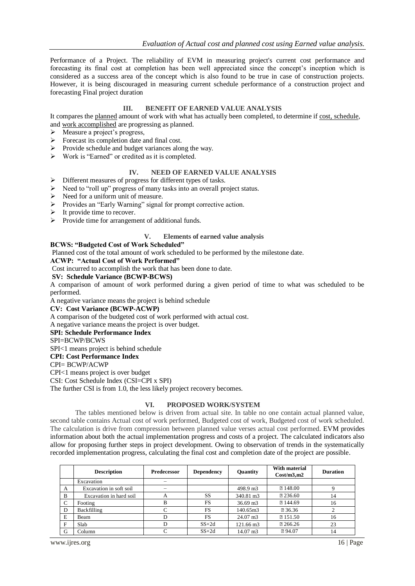Performance of a Project. The reliability of EVM in measuring project's current cost performance and forecasting its final cost at completion has been well appreciated since the concept's inception which is considered as a success area of the concept which is also found to be true in case of construction projects. However, it is being discouraged in measuring current schedule performance of a construction project and forecasting Final project duration

# **III. BENEFIT OF EARNED VALUE ANALYSIS**

It compares the planned amount of work with what has actually been completed, to determine if cost, schedule*,*  and work accomplished are progressing as planned.

- $\triangleright$  Measure a project's progress,
- $\triangleright$  Forecast its completion date and final cost.
- $\triangleright$  Provide schedule and budget variances along the way.
- $\triangleright$  Work is "Earned" or credited as it is completed.

# **IV. NEED OF EARNED VALUE ANALYSIS**

- $\triangleright$  Different measures of progress for different types of tasks.
- $\triangleright$  Need to "roll up" progress of many tasks into an overall project status.
- $\triangleright$  Need for a uniform unit of measure.
- Provides an "Early Warning" signal for prompt corrective action.
- $\triangleright$  It provide time to recover.
- $\triangleright$  Provide time for arrangement of additional funds.

# **V. Elements of earned value analysis**

## **BCWS: "Budgeted Cost of Work Scheduled"**

Planned cost of the total amount of work scheduled to be performed by the milestone date.

## **ACWP: "Actual Cost of Work Performed"**

Cost incurred to accomplish the work that has been done to date.

## **SV: Schedule Variance (BCWP-BCWS)**

A comparison of amount of work performed during a given period of time to what was scheduled to be performed.

A negative variance means the project is behind schedule

**CV: Cost Variance (BCWP-ACWP)**

A comparison of the budgeted cost of work performed with actual cost.

A negative variance means the project is over budget.

# **SPI: Schedule Performance Index**

SPI=BCWP/BCWS

SPI<1 means project is behind schedule

**CPI: Cost Performance Index**

CPI= BCWP/ACWP

CPI<1 means project is over budget

CSI: Cost Schedule Index (CSI=CPI x SPI)

The further CSI is from 1.0, the less likely project recovery becomes.

# **VI. PROPOSED WORK/SYSTEM**

The tables mentioned below is driven from actual site. In table no one contain actual planned value, second table contains Actual cost of work performed, Budgeted cost of work, Budgeted cost of work scheduled. The calculation is drive from compression between planned value verses actual cost performed. EVM provides information about both the actual implementation progress and costs of a project. The calculated indicators also allow for proposing further steps in project development. Owing to observation of trends in the systematically recorded implementation progress, calculating the final cost and completion date of the project are possible.

|             | <b>Description</b>      | <b>Predecessor</b> | <b>Dependency</b> | Quantity            | With material<br>Cost/m3.m2 | <b>Duration</b> |
|-------------|-------------------------|--------------------|-------------------|---------------------|-----------------------------|-----------------|
|             | Excavation              |                    |                   |                     |                             |                 |
| A           | Excavation in soft soil |                    |                   | 498.9 m3            | 2148.00                     |                 |
| B           | Excavation in hard soil | A                  | <b>SS</b>         | 340.81 m3           | 236.60                      | 14              |
| $\mathbf C$ | Footing                 | B                  | FS                | $36.69 \text{ m}$ 3 | <b>2144.69</b>              | 16              |
| D           | Backfilling             |                    | FS                | 140.65m3            | 236.36                      |                 |
| E           | Beam                    |                    | FS                | $24.07 \text{ m}^3$ | ■ 151.50                    | 16              |
| F           | Slab                    |                    | $SS+2d$           | 121.66 m3           | 266.26                      | 23              |
| G           | Column                  |                    | $SS+2d$           | $14.07 \text{ m}$ 3 | 794.07                      | 14              |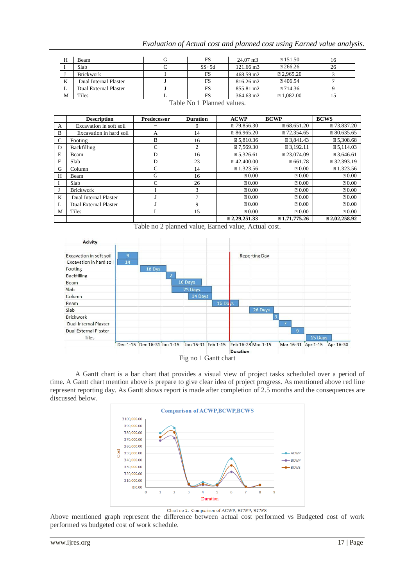| Н   | Beam                  | FS      | $24.07 \text{ m}$ 3 | 2151.50   | 16 |
|-----|-----------------------|---------|---------------------|-----------|----|
|     | Slab                  | $SS+5d$ | 121.66 m3           | 266.26    | 26 |
|     | <b>Brickwork</b>      | FS      | 468.59 m2           | 2.965.20  |    |
| K   | Dual Internal Plaster | FS      | 816.26 m2           | 2 406.54  |    |
| - L | Dual External Plaster | FS      | 855.81 m2           | 图 714.36  |    |
| M   | Tiles                 | FS      | 364.63 m2           | 21,082.00 |    |

| Evaluation of Actual cost and planned cost using Earned value analysis. |  |  |  |  |
|-------------------------------------------------------------------------|--|--|--|--|
|                                                                         |  |  |  |  |
|                                                                         |  |  |  |  |
|                                                                         |  |  |  |  |

Table No 1 Planned values.

|          | <b>Description</b>      | <b>Predecessor</b> | <b>Duration</b> | <b>ACWP</b> | <b>BCWP</b>  | <b>BCWS</b> |
|----------|-------------------------|--------------------|-----------------|-------------|--------------|-------------|
| A        | Excavation in soft soil |                    | 9               | 279,856.30  | 268,651.20   | 273,837.20  |
| B        | Excavation in hard soil | A                  | 14              | 286,965.20  | 272,354.65   | 2 80,635.65 |
| C        | Footing                 | B                  | 16              | 25,810.36   | 23,841.43    | 25,308.68   |
| D        | Backfilling             | C                  | 2               | 27,569.30   | ■ 3,192.11   | 25,114.03   |
| E        | Beam                    | D                  | 16              | 25.326.61   | 23,074.09    | 2 3.646.61  |
| F        | Slab                    | D                  | 23              | ■42,400.00  | ? 661.78     | 232,393.19  |
| G        | Column                  | C                  | 14              | 2 1,323.56  | 20.00        | 2 1,323.56  |
| H        | Beam                    | G                  | 16              | 20.00       | 20.00        | 20.00       |
| $\bf{I}$ | Slab                    | C                  | 26              | 20.00       | 20.00        | 20.00       |
| J        | <b>Brickwork</b>        |                    | 3               | 20.00       | 20.00        | 20.00       |
| K        | Dual Internal Plaster   |                    | ⇁               | 20.00       | 20.00        | 20.00       |
| L        | Dual External Plaster   |                    | 9               | 20.00       | 20.00        | 20.00       |
| M        | Tiles                   | L                  | 15              | 20.00       | 20.00        | 20.00       |
|          |                         |                    |                 | 2.29.251.33 | 21,71,775,26 | 2.02.258.92 |



A Gantt chart is a bar chart that provides a visual view of project tasks scheduled over a period of time**.** A Gantt chart mention above is prepare to give clear idea of project progress. As mentioned above red line represent reporting day. As Gantt shows report is made after completion of 2.5 months and the consequences are discussed below.



Chart no 2. Comparison of ACWP, BCWP, BCWS

Above mentioned graph represent the difference between actual cost performed vs Budgeted cost of work performed vs budgeted cost of work schedule.